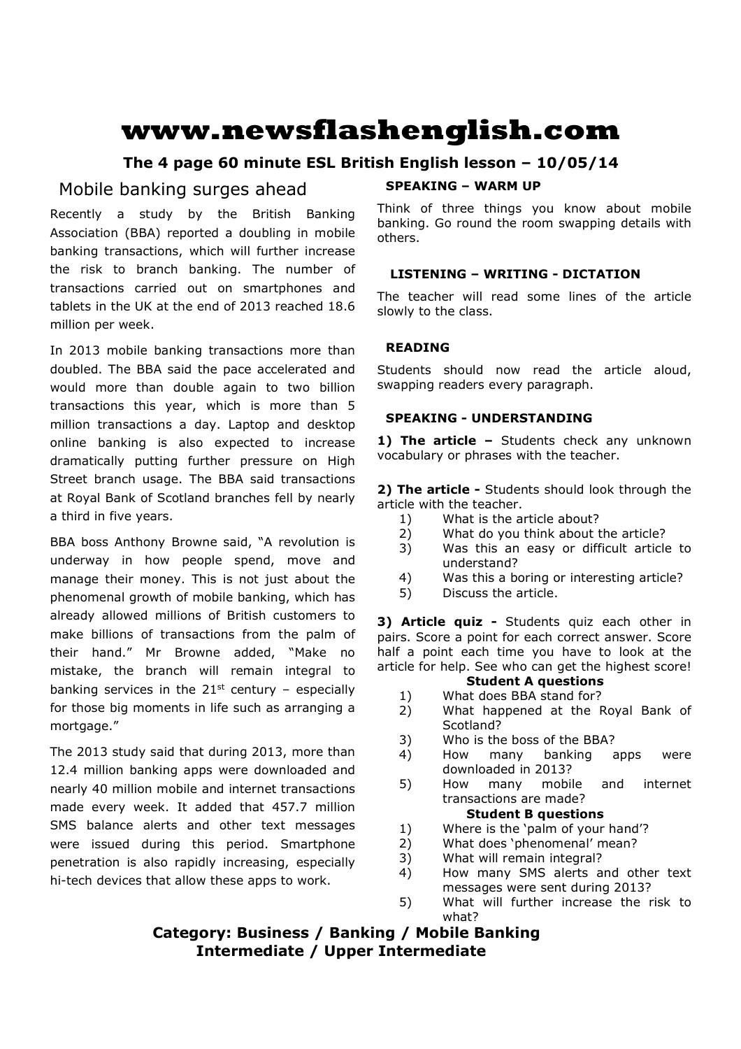# **www.newsflashenglish.com**

# **The 4 page 60 minute ESL British English lesson – 10/05/14**

# Mobile banking surges ahead

Recently a study by the British Banking Association (BBA) reported a doubling in mobile banking transactions, which will further increase the risk to branch banking. The number of transactions carried out on smartphones and tablets in the UK at the end of 2013 reached 18.6 million per week.

In 2013 mobile banking transactions more than doubled. The BBA said the pace accelerated and would more than double again to two billion transactions this year, which is more than 5 million transactions a day. Laptop and desktop online banking is also expected to increase dramatically putting further pressure on High Street branch usage. The BBA said transactions at Royal Bank of Scotland branches fell by nearly a third in five years.

BBA boss Anthony Browne said, "A revolution is underway in how people spend, move and manage their money. This is not just about the phenomenal growth of mobile banking, which has already allowed millions of British customers to make billions of transactions from the palm of their hand." Mr Browne added, "Make no mistake, the branch will remain integral to banking services in the  $21^{st}$  century – especially for those big moments in life such as arranging a mortgage."

The 2013 study said that during 2013, more than 12.4 million banking apps were downloaded and nearly 40 million mobile and internet transactions made every week. It added that 457.7 million SMS balance alerts and other text messages were issued during this period. Smartphone penetration is also rapidly increasing, especially hi-tech devices that allow these apps to work.

# **SPEAKING – WARM UP**

Think of three things you know about mobile banking. Go round the room swapping details with others.

# **LISTENING – WRITING - DICTATION**

The teacher will read some lines of the article slowly to the class.

# **READING**

Students should now read the article aloud, swapping readers every paragraph.

# **SPEAKING - UNDERSTANDING**

1) The article - Students check any unknown vocabulary or phrases with the teacher.

**2) The article -** Students should look through the article with the teacher.

- 1) What is the article about?
- 2) What do you think about the article?
- 3) Was this an easy or difficult article to understand?
- 4) Was this a boring or interesting article?
- 5) Discuss the article.

**3) Article quiz -** Students quiz each other in pairs. Score a point for each correct answer. Score half a point each time you have to look at the article for help. See who can get the highest score!

### **Student A questions**

- 1) What does BBA stand for?
- 2) What happened at the Royal Bank of Scotland?
- 3) Who is the boss of the BBA?
- 4) How many banking apps were downloaded in 2013?
- 5) How many mobile and internet transactions are made?

# **Student B questions**

- 1) Where is the 'palm of your hand'?
- 2) What does 'phenomenal' mean?
- 3) What will remain integral?
- 4) How many SMS alerts and other text messages were sent during 2013?
- 5) What will further increase the risk to what?

# **Category: Business / Banking / Mobile Banking Intermediate / Upper Intermediate**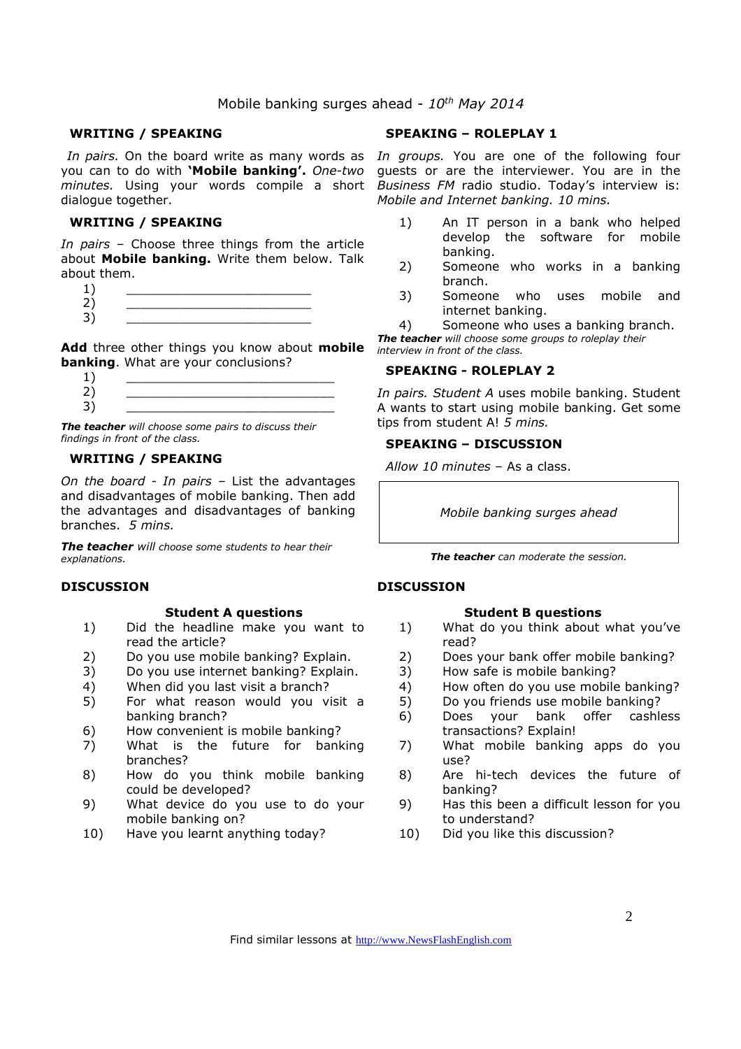# Mobile banking surges ahead - *10th May 2014*

#### **WRITING / SPEAKING**

you can to do with **'Mobile banking'.** *One-two minutes.* Using your words compile a short dialogue together.

#### **WRITING / SPEAKING**

*In pairs* – Choose three things from the article about **Mobile banking.** Write them below. Talk about them.

| ∠ |  |
|---|--|
| ۰ |  |

**Add** three other things you know about **mobile banking**. What are your conclusions?

 $1)$   $\qquad \qquad$ 2) \_\_\_\_\_\_\_\_\_\_\_\_\_\_\_\_\_\_\_\_\_\_\_\_\_\_\_ 3) \_\_\_\_\_\_\_\_\_\_\_\_\_\_\_\_\_\_\_\_\_\_\_\_\_\_\_

*The teacher will choose some pairs to discuss their findings in front of the class.* 

#### **WRITING / SPEAKING**

*On the board - In pairs –* List the advantages and disadvantages of mobile banking. Then add the advantages and disadvantages of banking branches. *5 mins.* 

*The teacher will choose some students to hear their explanations.* 

#### **DISCUSSION**

#### **Student A questions**

- 1) Did the headline make you want to read the article?
- 2) Do you use mobile banking? Explain.
- 3) Do you use internet banking? Explain.
- 4) When did you last visit a branch?
- 5) For what reason would you visit a banking branch?
- 6) How convenient is mobile banking?
- 7) What is the future for banking branches?
- 8) How do you think mobile banking could be developed?
- 9) What device do you use to do your mobile banking on?
- 10) Have you learnt anything today?

### **SPEAKING – ROLEPLAY 1**

*In pairs.* On the board write as many words as *In groups.* You are one of the following four guests or are the interviewer. You are in the *Business FM* radio studio. Today's interview is: *Mobile and Internet banking. 10 mins.* 

- 1) An IT person in a bank who helped develop the software for mobile banking.
- 2) Someone who works in a banking branch.
- 3) Someone who uses mobile and internet banking.
- 4) Someone who uses a banking branch. *The teacher will choose some groups to roleplay their*

*interview in front of the class.* 

#### **SPEAKING - ROLEPLAY 2**

*In pairs. Student A* uses mobile banking. Student A wants to start using mobile banking. Get some tips from student A! *5 mins.* 

#### **SPEAKING – DISCUSSION**

*Allow 10 minutes* – As a class.

*Mobile banking surges ahead* 

*The teacher can moderate the session.*

#### **DISCUSSION**

#### **Student B questions**

- 1) What do you think about what you've read?
- 2) Does your bank offer mobile banking?
- 3) How safe is mobile banking?
- 4) How often do you use mobile banking?
- 5) Do you friends use mobile banking?
- 6) Does your bank offer cashless transactions? Explain!
- 7) What mobile banking apps do you use?
- 8) Are hi-tech devices the future of banking?
- 9) Has this been a difficult lesson for you to understand?
- 10) Did you like this discussion?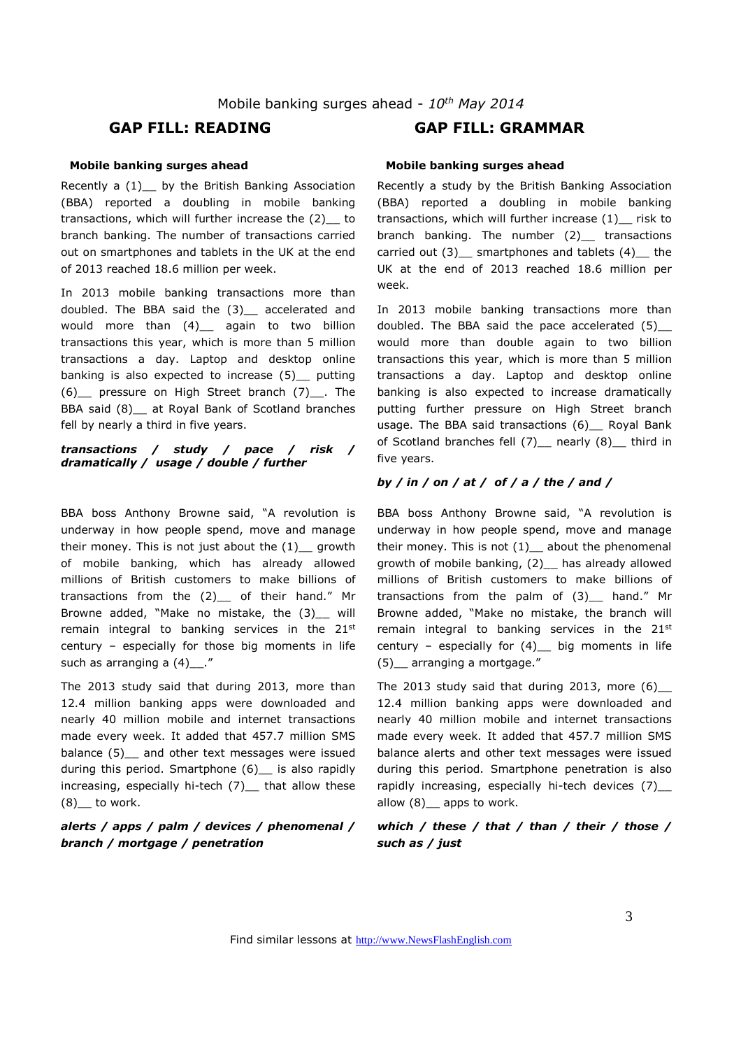# **GAP FILL: READING GAP FILL: GRAMMAR**

#### **Mobile banking surges ahead**

Recently a (1)\_\_ by the British Banking Association (BBA) reported a doubling in mobile banking transactions, which will further increase the (2)\_\_ to branch banking. The number of transactions carried out on smartphones and tablets in the UK at the end of 2013 reached 18.6 million per week.

In 2013 mobile banking transactions more than doubled. The BBA said the (3)\_\_ accelerated and would more than (4) again to two billion transactions this year, which is more than 5 million transactions a day. Laptop and desktop online banking is also expected to increase (5) putting (6) pressure on High Street branch (7)\_\_. The BBA said (8) at Royal Bank of Scotland branches fell by nearly a third in five years.

# *transactions / study / pace / risk / dramatically / usage / double / further*

BBA boss Anthony Browne said, "A revolution is underway in how people spend, move and manage their money. This is not just about the  $(1)$  growth of mobile banking, which has already allowed millions of British customers to make billions of transactions from the  $(2)$  of their hand." Mr Browne added, "Make no mistake, the (3)\_\_ will remain integral to banking services in the 21st century – especially for those big moments in life such as arranging a (4)\_\_."

The 2013 study said that during 2013, more than 12.4 million banking apps were downloaded and nearly 40 million mobile and internet transactions made every week. It added that 457.7 million SMS balance (5) and other text messages were issued during this period. Smartphone (6) is also rapidly increasing, especially hi-tech (7)\_\_ that allow these  $(8)$  to work.

#### *alerts / apps / palm / devices / phenomenal / branch / mortgage / penetration*

#### **Mobile banking surges ahead**

Recently a study by the British Banking Association (BBA) reported a doubling in mobile banking transactions, which will further increase (1)\_\_ risk to branch banking. The number (2) transactions carried out  $(3)$  smartphones and tablets  $(4)$  the UK at the end of 2013 reached 18.6 million per week.

In 2013 mobile banking transactions more than doubled. The BBA said the pace accelerated (5)\_\_ would more than double again to two billion transactions this year, which is more than 5 million transactions a day. Laptop and desktop online banking is also expected to increase dramatically putting further pressure on High Street branch usage. The BBA said transactions (6)\_ Royal Bank of Scotland branches fell (7) nearly (8) third in five years.

#### *by / in / on / at / of / a / the / and /*

BBA boss Anthony Browne said, "A revolution is underway in how people spend, move and manage their money. This is not  $(1)$  about the phenomenal growth of mobile banking, (2)\_\_ has already allowed millions of British customers to make billions of transactions from the palm of (3)\_\_ hand." Mr Browne added, "Make no mistake, the branch will remain integral to banking services in the 21<sup>st</sup> century – especially for  $(4)$  big moments in life (5)\_\_ arranging a mortgage."

The 2013 study said that during 2013, more  $(6)$ 12.4 million banking apps were downloaded and nearly 40 million mobile and internet transactions made every week. It added that 457.7 million SMS balance alerts and other text messages were issued during this period. Smartphone penetration is also rapidly increasing, especially hi-tech devices (7)\_\_ allow (8) apps to work.

# *which / these / that / than / their / those / such as / just*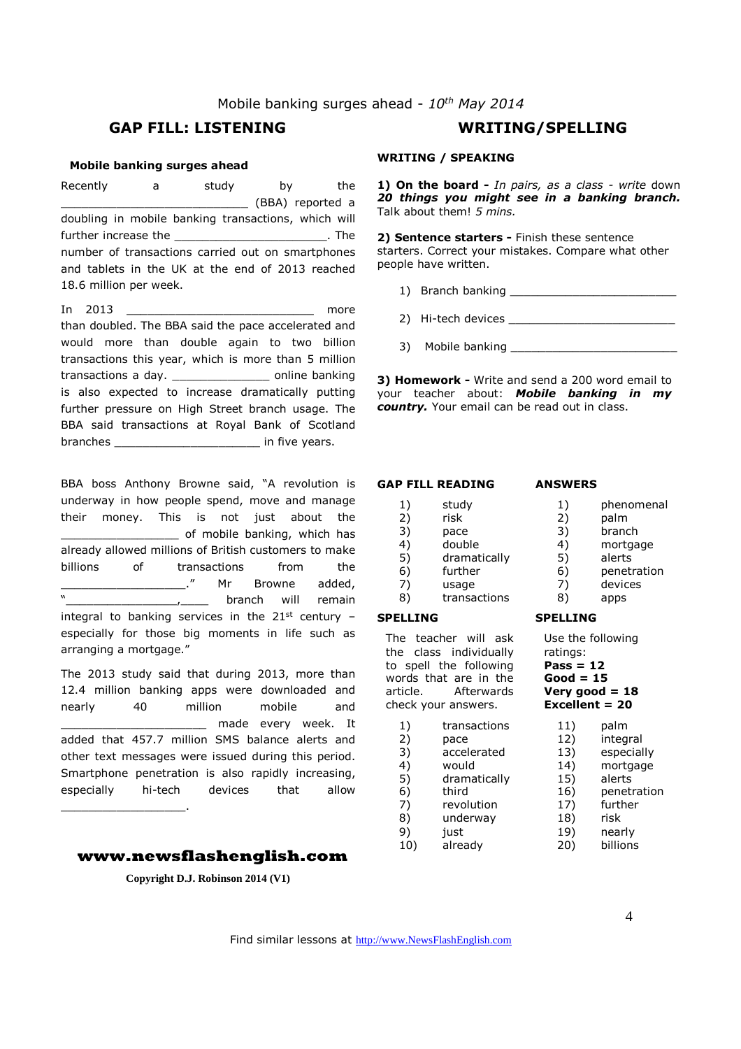# Mobile banking surges ahead - *10th May 2014*

# **GAP FILL: LISTENING WRITING/SPELLING**

#### **Mobile banking surges ahead**

Recently a study by the \_\_\_\_\_\_\_\_\_\_\_\_\_\_\_\_\_\_\_\_\_\_\_\_\_\_\_ (BBA) reported a doubling in mobile banking transactions, which will further increase the \_\_\_\_\_\_\_\_\_\_\_\_\_\_\_\_\_\_\_\_\_\_\_\_\_\_. The number of transactions carried out on smartphones and tablets in the UK at the end of 2013 reached 18.6 million per week.

In  $2013$  more than doubled. The BBA said the pace accelerated and would more than double again to two billion transactions this year, which is more than 5 million transactions a day. \_\_\_\_\_\_\_\_\_\_\_\_\_\_ online banking is also expected to increase dramatically putting further pressure on High Street branch usage. The BBA said transactions at Royal Bank of Scotland branches \_\_\_\_\_\_\_\_\_\_\_\_\_\_\_\_\_\_\_\_\_\_\_\_\_\_\_\_ in five years.

BBA boss Anthony Browne said, "A revolution is underway in how people spend, move and manage their money. This is not just about the \_\_\_\_\_\_\_\_\_\_\_\_\_\_\_\_\_ of mobile banking, which has already allowed millions of British customers to make billions of transactions from the \_\_\_\_\_\_\_\_\_\_\_\_\_\_\_\_\_\_\_\_\_\_\_\_." Mr Browne added,<br>"
branch will remain branch will remain integral to banking services in the  $21^{st}$  century especially for those big moments in life such as arranging a mortgage."

The 2013 study said that during 2013, more than 12.4 million banking apps were downloaded and nearly 40 million mobile and \_\_\_\_\_\_\_\_\_\_\_\_\_\_\_\_\_\_\_\_\_ made every week. It added that 457.7 million SMS balance alerts and other text messages were issued during this period. Smartphone penetration is also rapidly increasing, especially hi-tech devices that allow

#### **www.newsflashenglish.com**

\_\_\_\_\_\_\_\_\_\_\_\_\_\_\_\_\_\_.

**Copyright D.J. Robinson 2014 (V1)** 

# **WRITING / SPEAKING**

**1) On the board -** *In pairs, as a class - write* down *20 things you might see in a banking branch.* Talk about them! *5 mins.* 

**2) Sentence starters -** Finish these sentence starters. Correct your mistakes. Compare what other people have written.

- 1) Branch banking \_\_\_\_\_\_\_\_\_\_\_\_\_\_\_\_\_\_\_\_\_\_\_\_
- 2) Hi-tech devices \_\_\_\_\_\_\_\_\_\_\_\_\_\_\_\_\_\_\_\_\_\_\_\_
- 3) Mobile banking

**3) Homework -** Write and send a 200 word email to your teacher about: *Mobile banking in my country.* Your email can be read out in class.

# **GAP FILL READING**  1) study

6) further 7) usage 8) transactions

2) risk 3) pace 4) double<br>5) dramatic

**SPELLING** 

#### **ANSWERS**

- 1) phenomenal
- 2) palm
- 3) branch
- 4) mortgage<br>5) alerts
	- 5) alerts
- 6) penetration
- 7) devices
- 8) apps

#### **SPELLING**

The teacher will ask the class individually to spell the following words that are in the article. Afterwards check your answers.

dramatically

- 1) transactions 2) pace 3) accelerated 4) would 5) dramatically 6) third 7) revolution 8) underway
- 9) just
- 10) already
- Use the following ratings: **Pass = 12 Good = 15 Very good = 18 Excellent = 20** 
	- 11) palm 12) integral 13) especially 14) mortgage 15) alerts 16) penetration 17) further 18) risk 19) nearly 20) billions